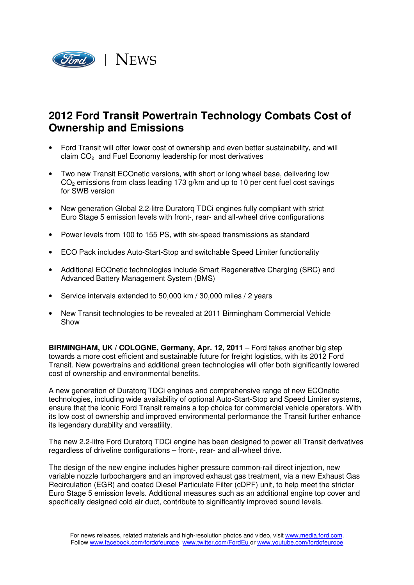

## **2012 Ford Transit Powertrain Technology Combats Cost of Ownership and Emissions**

- Ford Transit will offer lower cost of ownership and even better sustainability, and will claim CO<sub>2</sub> and Fuel Economy leadership for most derivatives
- Two new Transit ECOnetic versions, with short or long wheel base, delivering low  $CO<sub>2</sub>$  emissions from class leading 173 g/km and up to 10 per cent fuel cost savings for SWB version
- New generation Global 2.2-litre Duratorq TDCi engines fully compliant with strict Euro Stage 5 emission levels with front-, rear- and all-wheel drive configurations
- Power levels from 100 to 155 PS, with six-speed transmissions as standard
- ECO Pack includes Auto-Start-Stop and switchable Speed Limiter functionality
- Additional ECOnetic technologies include Smart Regenerative Charging (SRC) and Advanced Battery Management System (BMS)
- Service intervals extended to 50,000 km / 30,000 miles / 2 years
- New Transit technologies to be revealed at 2011 Birmingham Commercial Vehicle Show

**BIRMINGHAM, UK / COLOGNE, Germany, Apr. 12, 2011** – Ford takes another big step towards a more cost efficient and sustainable future for freight logistics, with its 2012 Ford Transit. New powertrains and additional green technologies will offer both significantly lowered cost of ownership and environmental benefits.

A new generation of Duratorq TDCi engines and comprehensive range of new ECOnetic technologies, including wide availability of optional Auto-Start-Stop and Speed Limiter systems, ensure that the iconic Ford Transit remains a top choice for commercial vehicle operators. With its low cost of ownership and improved environmental performance the Transit further enhance its legendary durability and versatility.

The new 2.2-litre Ford Duratorq TDCi engine has been designed to power all Transit derivatives regardless of driveline configurations – front-, rear- and all-wheel drive.

The design of the new engine includes higher pressure common-rail direct injection, new variable nozzle turbochargers and an improved exhaust gas treatment, via a new Exhaust Gas Recirculation (EGR) and coated Diesel Particulate Filter (cDPF) unit, to help meet the stricter Euro Stage 5 emission levels. Additional measures such as an additional engine top cover and specifically designed cold air duct, contribute to significantly improved sound levels.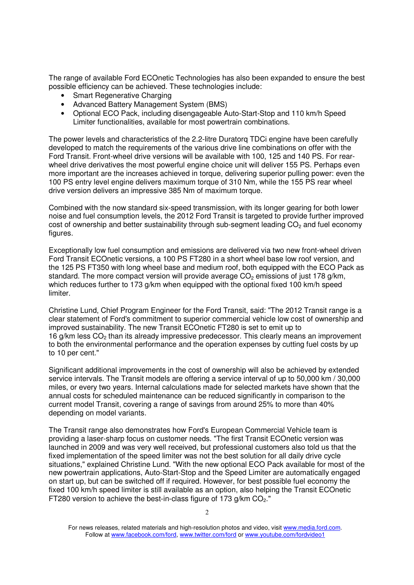The range of available Ford ECOnetic Technologies has also been expanded to ensure the best possible efficiency can be achieved. These technologies include:

- Smart Regenerative Charging
- Advanced Battery Management System (BMS)
- Optional ECO Pack, including disengageable Auto-Start-Stop and 110 km/h Speed Limiter functionalities, available for most powertrain combinations.

The power levels and characteristics of the 2.2-litre Duratorq TDCi engine have been carefully developed to match the requirements of the various drive line combinations on offer with the Ford Transit. Front-wheel drive versions will be available with 100, 125 and 140 PS. For rearwheel drive derivatives the most powerful engine choice unit will deliver 155 PS. Perhaps even more important are the increases achieved in torque, delivering superior pulling power: even the 100 PS entry level engine delivers maximum torque of 310 Nm, while the 155 PS rear wheel drive version delivers an impressive 385 Nm of maximum torque.

Combined with the now standard six-speed transmission, with its longer gearing for both lower noise and fuel consumption levels, the 2012 Ford Transit is targeted to provide further improved cost of ownership and better sustainability through sub-segment leading CO<sub>2</sub> and fuel economy figures.

Exceptionally low fuel consumption and emissions are delivered via two new front-wheel driven Ford Transit ECOnetic versions, a 100 PS FT280 in a short wheel base low roof version, and the 125 PS FT350 with long wheel base and medium roof, both equipped with the ECO Pack as standard. The more compact version will provide average  $CO<sub>2</sub>$  emissions of just 178 g/km, which reduces further to 173 g/km when equipped with the optional fixed 100 km/h speed limiter.

Christine Lund, Chief Program Engineer for the Ford Transit, said: "The 2012 Transit range is a clear statement of Ford's commitment to superior commercial vehicle low cost of ownership and improved sustainability. The new Transit ECOnetic FT280 is set to emit up to 16 g/km less  $CO<sub>2</sub>$  than its already impressive predecessor. This clearly means an improvement to both the environmental performance and the operation expenses by cutting fuel costs by up to 10 per cent."

Significant additional improvements in the cost of ownership will also be achieved by extended service intervals. The Transit models are offering a service interval of up to 50,000 km / 30,000 miles, or every two years. Internal calculations made for selected markets have shown that the annual costs for scheduled maintenance can be reduced significantly in comparison to the current model Transit, covering a range of savings from around 25% to more than 40% depending on model variants.

The Transit range also demonstrates how Ford's European Commercial Vehicle team is providing a laser-sharp focus on customer needs. "The first Transit ECOnetic version was launched in 2009 and was very well received, but professional customers also told us that the fixed implementation of the speed limiter was not the best solution for all daily drive cycle situations," explained Christine Lund. "With the new optional ECO Pack available for most of the new powertrain applications, Auto-Start-Stop and the Speed Limiter are automatically engaged on start up, but can be switched off if required. However, for best possible fuel economy the fixed 100 km/h speed limiter is still available as an option, also helping the Transit ECOnetic FT280 version to achieve the best-in-class figure of 173  $q/km$  CO<sub>2</sub>."

For news releases, related materials and high-resolution photos and video, visit www.media.ford.com. Follow at www.facebook.com/ford, www.twitter.com/ford or www.youtube.com/fordvideo1